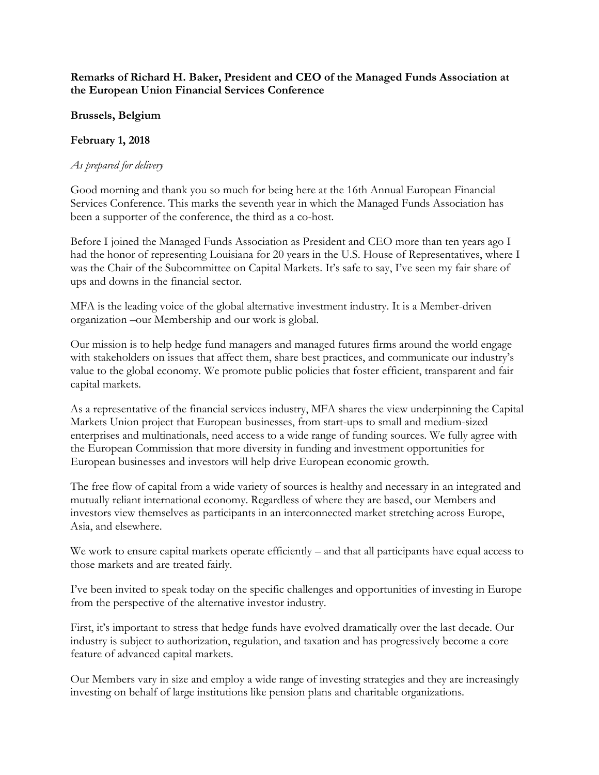## **Remarks of Richard H. Baker, President and CEO of the Managed Funds Association at the European Union Financial Services Conference**

**Brussels, Belgium**

## **February 1, 2018**

## *As prepared for delivery*

Good morning and thank you so much for being here at the 16th Annual European Financial Services Conference. This marks the seventh year in which the Managed Funds Association has been a supporter of the conference, the third as a co-host.

Before I joined the Managed Funds Association as President and CEO more than ten years ago I had the honor of representing Louisiana for 20 years in the U.S. House of Representatives, where I was the Chair of the Subcommittee on Capital Markets. It's safe to say, I've seen my fair share of ups and downs in the financial sector.

MFA is the leading voice of the global alternative investment industry. It is a Member-driven organization –our Membership and our work is global.

Our mission is to help hedge fund managers and managed futures firms around the world engage with stakeholders on issues that affect them, share best practices, and communicate our industry's value to the global economy. We promote public policies that foster efficient, transparent and fair capital markets.

As a representative of the financial services industry, MFA shares the view underpinning the Capital Markets Union project that European businesses, from start-ups to small and medium-sized enterprises and multinationals, need access to a wide range of funding sources. We fully agree with the European Commission that more diversity in funding and investment opportunities for European businesses and investors will help drive European economic growth.

The free flow of capital from a wide variety of sources is healthy and necessary in an integrated and mutually reliant international economy. Regardless of where they are based, our Members and investors view themselves as participants in an interconnected market stretching across Europe, Asia, and elsewhere.

We work to ensure capital markets operate efficiently – and that all participants have equal access to those markets and are treated fairly.

I've been invited to speak today on the specific challenges and opportunities of investing in Europe from the perspective of the alternative investor industry.

First, it's important to stress that hedge funds have evolved dramatically over the last decade. Our industry is subject to authorization, regulation, and taxation and has progressively become a core feature of advanced capital markets.

Our Members vary in size and employ a wide range of investing strategies and they are increasingly investing on behalf of large institutions like pension plans and charitable organizations.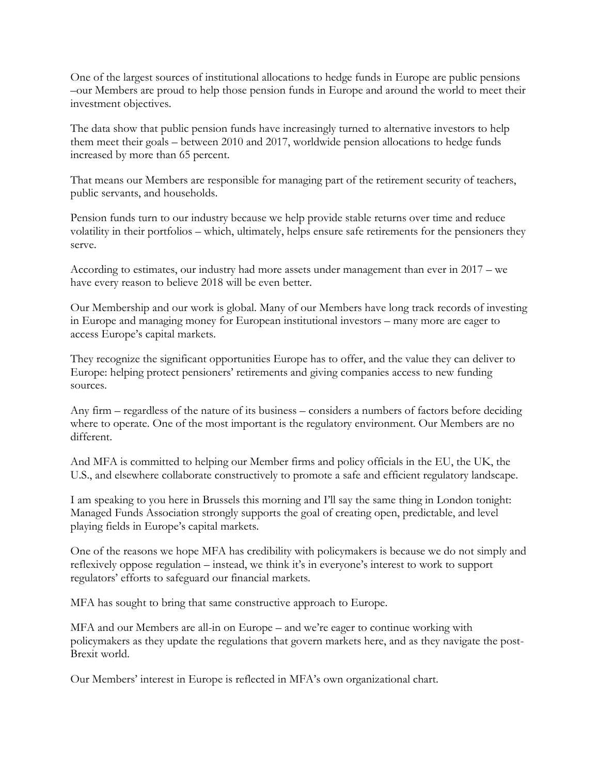One of the largest sources of institutional allocations to hedge funds in Europe are public pensions –our Members are proud to help those pension funds in Europe and around the world to meet their investment objectives.

The data show that public pension funds have increasingly turned to alternative investors to help them meet their goals – between 2010 and 2017, worldwide pension allocations to hedge funds increased by more than 65 percent.

That means our Members are responsible for managing part of the retirement security of teachers, public servants, and households.

Pension funds turn to our industry because we help provide stable returns over time and reduce volatility in their portfolios – which, ultimately, helps ensure safe retirements for the pensioners they serve.

According to estimates, our industry had more assets under management than ever in 2017 – we have every reason to believe 2018 will be even better.

Our Membership and our work is global. Many of our Members have long track records of investing in Europe and managing money for European institutional investors – many more are eager to access Europe's capital markets.

They recognize the significant opportunities Europe has to offer, and the value they can deliver to Europe: helping protect pensioners' retirements and giving companies access to new funding sources.

Any firm – regardless of the nature of its business – considers a numbers of factors before deciding where to operate. One of the most important is the regulatory environment. Our Members are no different.

And MFA is committed to helping our Member firms and policy officials in the EU, the UK, the U.S., and elsewhere collaborate constructively to promote a safe and efficient regulatory landscape.

I am speaking to you here in Brussels this morning and I'll say the same thing in London tonight: Managed Funds Association strongly supports the goal of creating open, predictable, and level playing fields in Europe's capital markets.

One of the reasons we hope MFA has credibility with policymakers is because we do not simply and reflexively oppose regulation – instead, we think it's in everyone's interest to work to support regulators' efforts to safeguard our financial markets.

MFA has sought to bring that same constructive approach to Europe.

MFA and our Members are all-in on Europe – and we're eager to continue working with policymakers as they update the regulations that govern markets here, and as they navigate the post-Brexit world.

Our Members' interest in Europe is reflected in MFA's own organizational chart.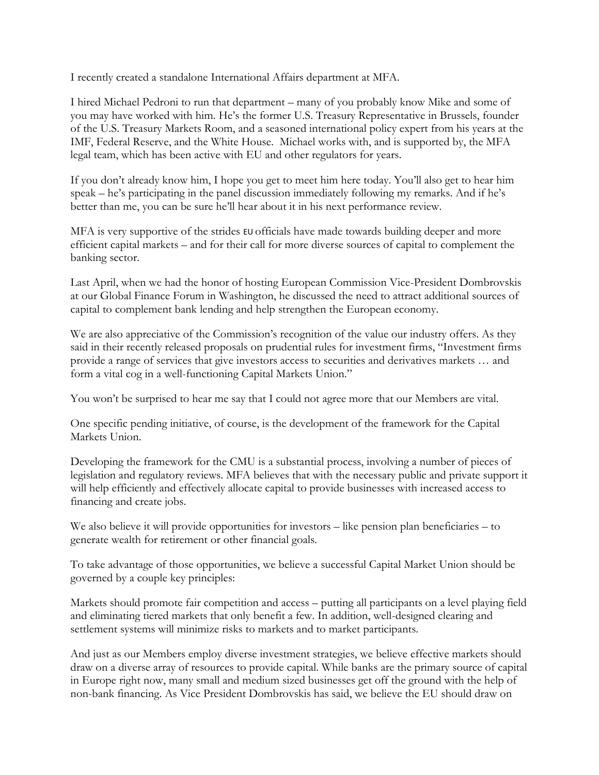I recently created a standalone International Affairs department at MFA.

I hired Michael Pedroni to run that department – many of you probably know Mike and some of you may have worked with him. He's the former U.S. Treasury Representative in Brussels, founder of the U.S. Treasury Markets Room, and a seasoned international policy expert from his years at the IMF, Federal Reserve, and the White House. Michael works with, and is supported by, the MFA legal team, which has been active with EU and other regulators for years.

If you don't already know him, I hope you get to meet him here today. You'll also get to hear him speak – he's participating in the panel discussion immediately following my remarks. And if he's better than me, you can be sure he'll hear about it in his next performance review.

MFA is very supportive of the strides EU officials have made towards building deeper and more efficient capital markets – and for their call for more diverse sources of capital to complement the banking sector.

Last April, when we had the honor of hosting European Commission Vice-President Dombrovskis at our Global Finance Forum in Washington, he discussed the need to attract additional sources of capital to complement bank lending and help strengthen the European economy.

We are also appreciative of the Commission's recognition of the value our industry offers. As they said in their recently released proposals on prudential rules for investment firms, "Investment firms provide a range of services that give investors access to securities and derivatives markets … and form a vital cog in a well-functioning Capital Markets Union."

You won't be surprised to hear me say that I could not agree more that our Members are vital.

One specific pending initiative, of course, is the development of the framework for the Capital Markets Union.

Developing the framework for the CMU is a substantial process, involving a number of pieces of legislation and regulatory reviews. MFA believes that with the necessary public and private support it will help efficiently and effectively allocate capital to provide businesses with increased access to financing and create jobs.

We also believe it will provide opportunities for investors – like pension plan beneficiaries – to generate wealth for retirement or other financial goals.

To take advantage of those opportunities, we believe a successful Capital Market Union should be governed by a couple key principles:

Markets should promote fair competition and access – putting all participants on a level playing field and eliminating tiered markets that only benefit a few. In addition, well-designed clearing and settlement systems will minimize risks to markets and to market participants.

And just as our Members employ diverse investment strategies, we believe effective markets should draw on a diverse array of resources to provide capital. While banks are the primary source of capital in Europe right now, many small and medium sized businesses get off the ground with the help of non-bank financing. As Vice President Dombrovskis has said, we believe the EU should draw on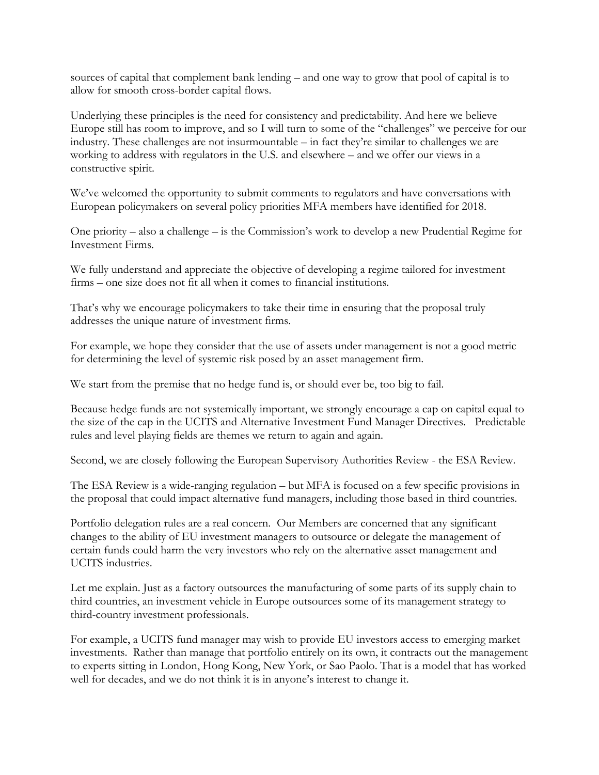sources of capital that complement bank lending – and one way to grow that pool of capital is to allow for smooth cross-border capital flows.

Underlying these principles is the need for consistency and predictability. And here we believe Europe still has room to improve, and so I will turn to some of the "challenges" we perceive for our industry. These challenges are not insurmountable – in fact they're similar to challenges we are working to address with regulators in the U.S. and elsewhere – and we offer our views in a constructive spirit.

We've welcomed the opportunity to submit comments to regulators and have conversations with European policymakers on several policy priorities MFA members have identified for 2018.

One priority – also a challenge – is the Commission's work to develop a new Prudential Regime for Investment Firms.

We fully understand and appreciate the objective of developing a regime tailored for investment firms – one size does not fit all when it comes to financial institutions.

That's why we encourage policymakers to take their time in ensuring that the proposal truly addresses the unique nature of investment firms.

For example, we hope they consider that the use of assets under management is not a good metric for determining the level of systemic risk posed by an asset management firm.

We start from the premise that no hedge fund is, or should ever be, too big to fail.

Because hedge funds are not systemically important, we strongly encourage a cap on capital equal to the size of the cap in the UCITS and Alternative Investment Fund Manager Directives. Predictable rules and level playing fields are themes we return to again and again.

Second, we are closely following the European Supervisory Authorities Review - the ESA Review.

The ESA Review is a wide-ranging regulation – but MFA is focused on a few specific provisions in the proposal that could impact alternative fund managers, including those based in third countries.

Portfolio delegation rules are a real concern. Our Members are concerned that any significant changes to the ability of EU investment managers to outsource or delegate the management of certain funds could harm the very investors who rely on the alternative asset management and UCITS industries.

Let me explain. Just as a factory outsources the manufacturing of some parts of its supply chain to third countries, an investment vehicle in Europe outsources some of its management strategy to third-country investment professionals.

For example, a UCITS fund manager may wish to provide EU investors access to emerging market investments. Rather than manage that portfolio entirely on its own, it contracts out the management to experts sitting in London, Hong Kong, New York, or Sao Paolo. That is a model that has worked well for decades, and we do not think it is in anyone's interest to change it.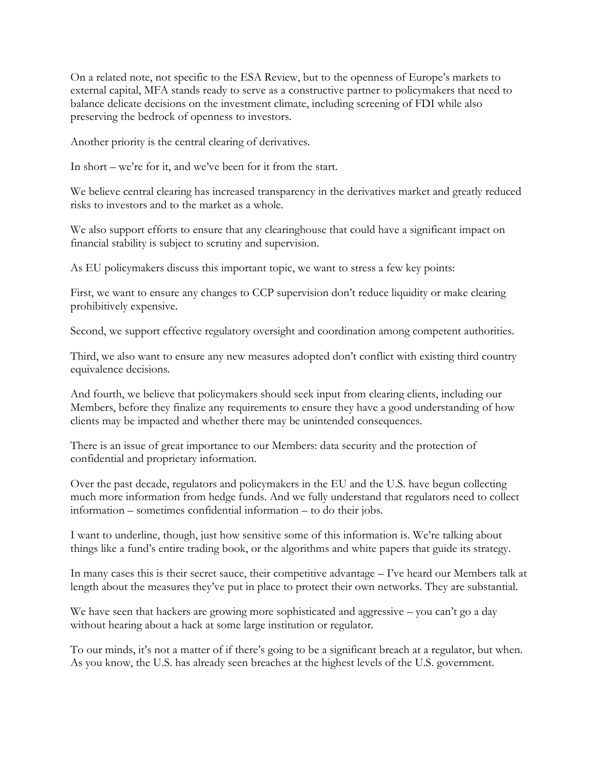On a related note, not specific to the ESA Review, but to the openness of Europe's markets to external capital, MFA stands ready to serve as a constructive partner to policymakers that need to balance delicate decisions on the investment climate, including screening of FDI while also preserving the bedrock of openness to investors.

Another priority is the central clearing of derivatives.

In short – we're for it, and we've been for it from the start.

We believe central clearing has increased transparency in the derivatives market and greatly reduced risks to investors and to the market as a whole.

We also support efforts to ensure that any clearinghouse that could have a significant impact on financial stability is subject to scrutiny and supervision.

As EU policymakers discuss this important topic, we want to stress a few key points:

First, we want to ensure any changes to CCP supervision don't reduce liquidity or make clearing prohibitively expensive.

Second, we support effective regulatory oversight and coordination among competent authorities.

Third, we also want to ensure any new measures adopted don't conflict with existing third country equivalence decisions.

And fourth, we believe that policymakers should seek input from clearing clients, including our Members, before they finalize any requirements to ensure they have a good understanding of how clients may be impacted and whether there may be unintended consequences.

There is an issue of great importance to our Members: data security and the protection of confidential and proprietary information.

Over the past decade, regulators and policymakers in the EU and the U.S. have begun collecting much more information from hedge funds. And we fully understand that regulators need to collect information – sometimes confidential information – to do their jobs.

I want to underline, though, just how sensitive some of this information is. We're talking about things like a fund's entire trading book, or the algorithms and white papers that guide its strategy.

In many cases this is their secret sauce, their competitive advantage – I've heard our Members talk at length about the measures they've put in place to protect their own networks. They are substantial.

We have seen that hackers are growing more sophisticated and aggressive – you can't go a day without hearing about a hack at some large institution or regulator.

To our minds, it's not a matter of if there's going to be a significant breach at a regulator, but when. As you know, the U.S. has already seen breaches at the highest levels of the U.S. government.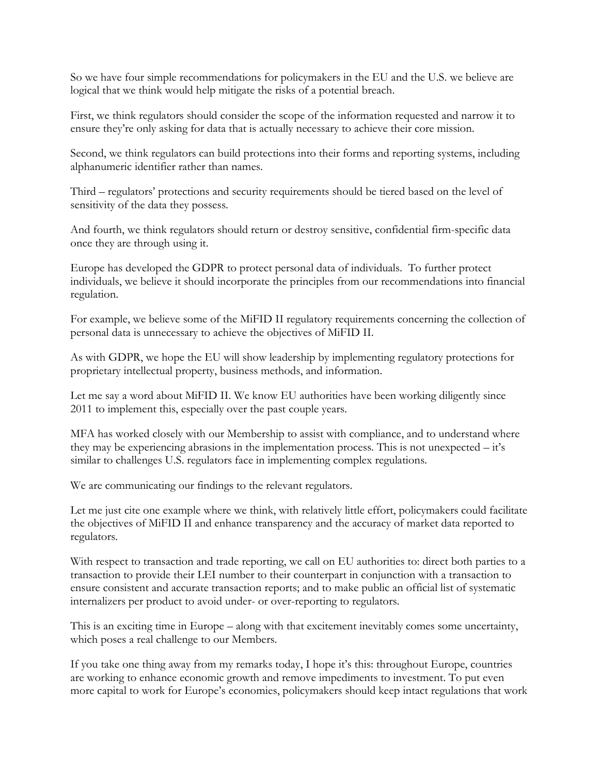So we have four simple recommendations for policymakers in the EU and the U.S. we believe are logical that we think would help mitigate the risks of a potential breach.

First, we think regulators should consider the scope of the information requested and narrow it to ensure they're only asking for data that is actually necessary to achieve their core mission.

Second, we think regulators can build protections into their forms and reporting systems, including alphanumeric identifier rather than names.

Third – regulators' protections and security requirements should be tiered based on the level of sensitivity of the data they possess.

And fourth, we think regulators should return or destroy sensitive, confidential firm-specific data once they are through using it.

Europe has developed the GDPR to protect personal data of individuals. To further protect individuals, we believe it should incorporate the principles from our recommendations into financial regulation.

For example, we believe some of the MiFID II regulatory requirements concerning the collection of personal data is unnecessary to achieve the objectives of MiFID II.

As with GDPR, we hope the EU will show leadership by implementing regulatory protections for proprietary intellectual property, business methods, and information.

Let me say a word about MiFID II. We know EU authorities have been working diligently since 2011 to implement this, especially over the past couple years.

MFA has worked closely with our Membership to assist with compliance, and to understand where they may be experiencing abrasions in the implementation process. This is not unexpected – it's similar to challenges U.S. regulators face in implementing complex regulations.

We are communicating our findings to the relevant regulators.

Let me just cite one example where we think, with relatively little effort, policymakers could facilitate the objectives of MiFID II and enhance transparency and the accuracy of market data reported to regulators.

With respect to transaction and trade reporting, we call on EU authorities to: direct both parties to a transaction to provide their LEI number to their counterpart in conjunction with a transaction to ensure consistent and accurate transaction reports; and to make public an official list of systematic internalizers per product to avoid under- or over-reporting to regulators.

This is an exciting time in Europe – along with that excitement inevitably comes some uncertainty, which poses a real challenge to our Members.

If you take one thing away from my remarks today, I hope it's this: throughout Europe, countries are working to enhance economic growth and remove impediments to investment. To put even more capital to work for Europe's economies, policymakers should keep intact regulations that work